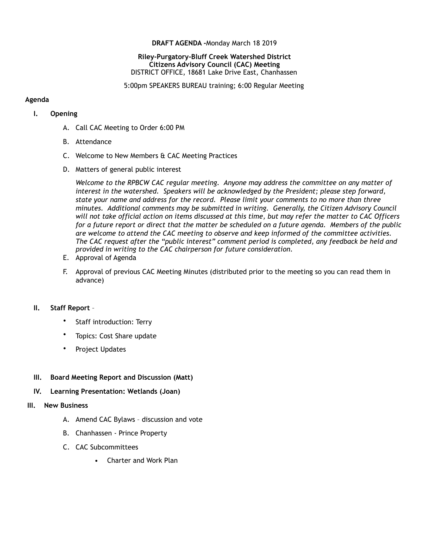#### **DRAFT AGENDA -**Monday March 18 2019

#### **Riley-Purgatory-Bluff Creek Watershed District Citizens Advisory Council (CAC) Meeting** DISTRICT OFFICE, 18681 Lake Drive East, Chanhassen

5:00pm SPEAKERS BUREAU training; 6:00 Regular Meeting

#### **Agenda**

## **I. Opening**

- A. Call CAC Meeting to Order 6:00 PM
- B. Attendance
- C. Welcome to New Members & CAC Meeting Practices
- D. Matters of general public interest

*Welcome to the RPBCW CAC regular meeting. Anyone may address the committee on any matter of interest in the watershed. Speakers will be acknowledged by the President; please step forward, state your name and address for the record. Please limit your comments to no more than three minutes. Additional comments may be submitted in writing. Generally, the Citizen Advisory Council will not take official action on items discussed at this time, but may refer the matter to CAC Officers for a future report or direct that the matter be scheduled on a future agenda. Members of the public are welcome to attend the CAC meeting to observe and keep informed of the committee activities. The CAC request after the "public interest" comment period is completed, any feedback be held and provided in writing to the CAC chairperson for future consideration.*

- E. Approval of Agenda
- F. Approval of previous CAC Meeting Minutes (distributed prior to the meeting so you can read them in advance)

## **II. Staff Report** –

- Staff introduction: Terry
- Topics: Cost Share update
- Project Updates

## **III. Board Meeting Report and Discussion (Matt)**

## **IV. Learning Presentation: Wetlands (Joan)**

## **III. New Business**

- A. Amend CAC Bylaws discussion and vote
- B. Chanhassen Prince Property
- C. CAC Subcommittees
	- Charter and Work Plan